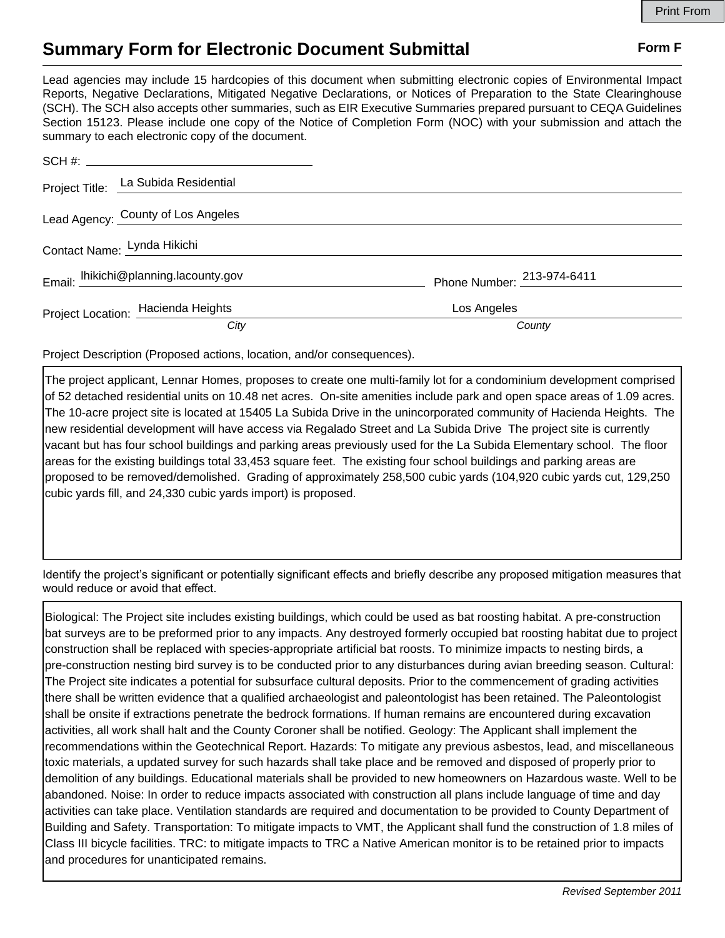## **Summary Form for Electronic Document Submittal Form F Form F**

Lead agencies may include 15 hardcopies of this document when submitting electronic copies of Environmental Impact Reports, Negative Declarations, Mitigated Negative Declarations, or Notices of Preparation to the State Clearinghouse (SCH). The SCH also accepts other summaries, such as EIR Executive Summaries prepared pursuant to CEQA Guidelines Section 15123. Please include one copy of the Notice of Completion Form (NOC) with your submission and attach the summary to each electronic copy of the document.

|                             | SCH #:                                |                                 |
|-----------------------------|---------------------------------------|---------------------------------|
|                             | Project Title: La Subida Residential  |                                 |
|                             | Lead Agency: County of Los Angeles    |                                 |
| Contact Name: Lynda Hikichi |                                       |                                 |
|                             | Email: lhikichi@planning.lacounty.gov | Phone Number: $^{213-974-6411}$ |
|                             | Project Location: Hacienda Heights    | Los Angeles                     |
|                             | City                                  | County                          |

Project Description (Proposed actions, location, and/or consequences).

The project applicant, Lennar Homes, proposes to create one multi-family lot for a condominium development comprised of 52 detached residential units on 10.48 net acres. On-site amenities include park and open space areas of 1.09 acres. The 10-acre project site is located at 15405 La Subida Drive in the unincorporated community of Hacienda Heights. The new residential development will have access via Regalado Street and La Subida Drive The project site is currently vacant but has four school buildings and parking areas previously used for the La Subida Elementary school. The floor areas for the existing buildings total 33,453 square feet. The existing four school buildings and parking areas are proposed to be removed/demolished. Grading of approximately 258,500 cubic yards (104,920 cubic yards cut, 129,250 cubic yards fill, and 24,330 cubic yards import) is proposed.

Identify the project's significant or potentially significant effects and briefly describe any proposed mitigation measures that would reduce or avoid that effect.

Biological: The Project site includes existing buildings, which could be used as bat roosting habitat. A pre-construction bat surveys are to be preformed prior to any impacts. Any destroyed formerly occupied bat roosting habitat due to project construction shall be replaced with species-appropriate artificial bat roosts. To minimize impacts to nesting birds, a pre-construction nesting bird survey is to be conducted prior to any disturbances during avian breeding season. Cultural: The Project site indicates a potential for subsurface cultural deposits. Prior to the commencement of grading activities there shall be written evidence that a qualified archaeologist and paleontologist has been retained. The Paleontologist shall be onsite if extractions penetrate the bedrock formations. If human remains are encountered during excavation activities, all work shall halt and the County Coroner shall be notified. Geology: The Applicant shall implement the recommendations within the Geotechnical Report. Hazards: To mitigate any previous asbestos, lead, and miscellaneous toxic materials, a updated survey for such hazards shall take place and be removed and disposed of properly prior to demolition of any buildings. Educational materials shall be provided to new homeowners on Hazardous waste. Well to be abandoned. Noise: In order to reduce impacts associated with construction all plans include language of time and day activities can take place. Ventilation standards are required and documentation to be provided to County Department of Building and Safety. Transportation: To mitigate impacts to VMT, the Applicant shall fund the construction of 1.8 miles of Class III bicycle facilities. TRC: to mitigate impacts to TRC a Native American monitor is to be retained prior to impacts and procedures for unanticipated remains.